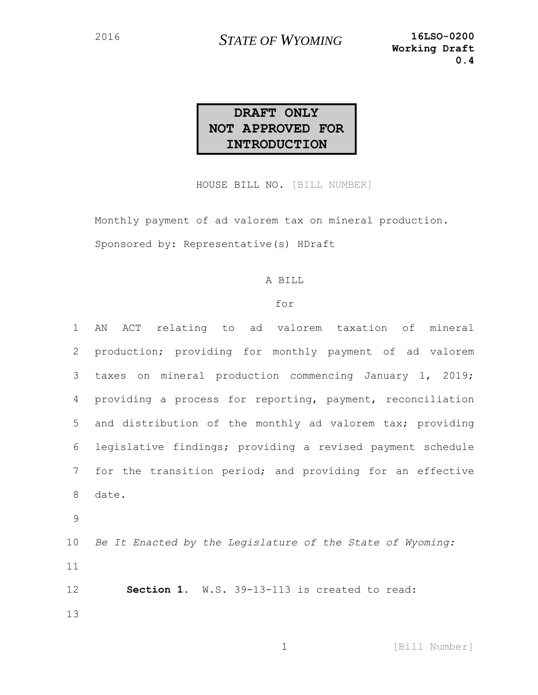### **DRAFT ONLY NOT APPROVED FOR INTRODUCTION**

HOUSE BILL NO. [BILL NUMBER]

Monthly payment of ad valorem tax on mineral production. Sponsored by: Representative(s) HDraft

#### A BILL

#### for

 AN ACT relating to ad valorem taxation of mineral production; providing for monthly payment of ad valorem taxes on mineral production commencing January 1, 2019; providing a process for reporting, payment, reconciliation and distribution of the monthly ad valorem tax; providing legislative findings; providing a revised payment schedule for the transition period; and providing for an effective 8 date. 9 *Be It Enacted by the Legislature of the State of Wyoming:* 11 **Section 1.** W.S. 39-13-113 is created to read: 13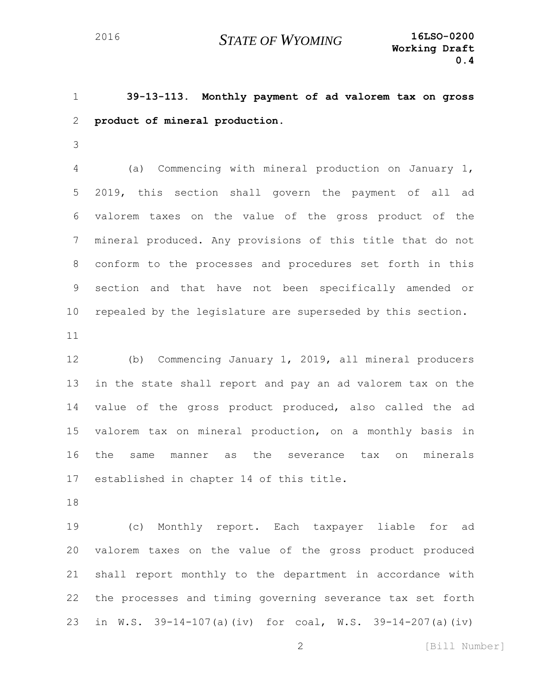**39-13-113. Monthly payment of ad valorem tax on gross product of mineral production.**

 (a) Commencing with mineral production on January 1, 2019, this section shall govern the payment of all ad valorem taxes on the value of the gross product of the mineral produced. Any provisions of this title that do not conform to the processes and procedures set forth in this section and that have not been specifically amended or repealed by the legislature are superseded by this section. 

 (b) Commencing January 1, 2019, all mineral producers in the state shall report and pay an ad valorem tax on the value of the gross product produced, also called the ad valorem tax on mineral production, on a monthly basis in the same manner as the severance tax on minerals established in chapter 14 of this title.

 (c) Monthly report. Each taxpayer liable for ad 20 valorem taxes on the value of the gross product produced shall report monthly to the department in accordance with the processes and timing governing severance tax set forth in W.S. 39-14-107(a)(iv) for coal, W.S. 39-14-207(a)(iv)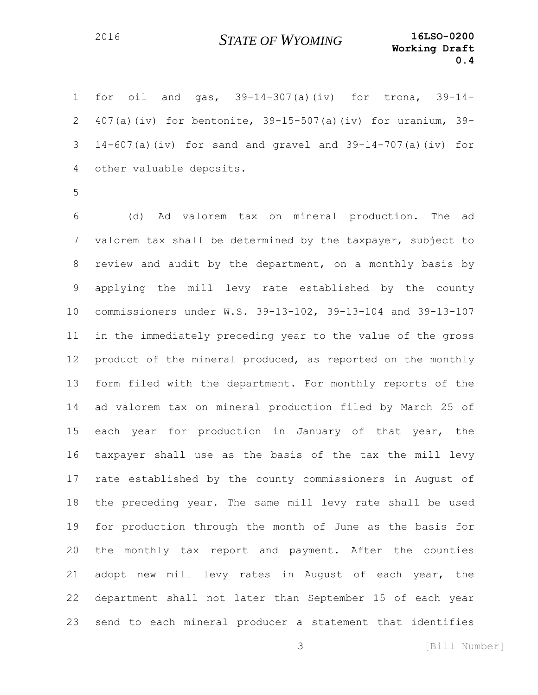for oil and gas, 39-14-307(a)(iv) for trona, 39-14- 407(a)(iv) for bentonite, 39-15-507(a)(iv) for uranium, 39- 14-607(a)(iv) for sand and gravel and 39-14-707(a)(iv) for other valuable deposits.

 (d) Ad valorem tax on mineral production. The ad valorem tax shall be determined by the taxpayer, subject to review and audit by the department, on a monthly basis by applying the mill levy rate established by the county commissioners under W.S. 39-13-102, 39-13-104 and 39-13-107 in the immediately preceding year to the value of the gross 12 product of the mineral produced, as reported on the monthly form filed with the department. For monthly reports of the ad valorem tax on mineral production filed by March 25 of 15 each year for production in January of that year, the taxpayer shall use as the basis of the tax the mill levy rate established by the county commissioners in August of the preceding year. The same mill levy rate shall be used for production through the month of June as the basis for the monthly tax report and payment. After the counties adopt new mill levy rates in August of each year, the department shall not later than September 15 of each year send to each mineral producer a statement that identifies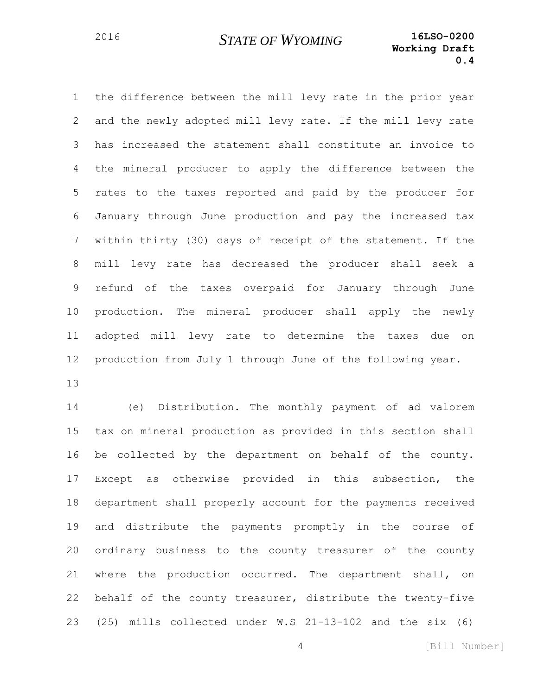the difference between the mill levy rate in the prior year and the newly adopted mill levy rate. If the mill levy rate has increased the statement shall constitute an invoice to the mineral producer to apply the difference between the rates to the taxes reported and paid by the producer for January through June production and pay the increased tax within thirty (30) days of receipt of the statement. If the mill levy rate has decreased the producer shall seek a refund of the taxes overpaid for January through June production. The mineral producer shall apply the newly adopted mill levy rate to determine the taxes due on production from July 1 through June of the following year. 

 (e) Distribution. The monthly payment of ad valorem tax on mineral production as provided in this section shall be collected by the department on behalf of the county. Except as otherwise provided in this subsection, the department shall properly account for the payments received and distribute the payments promptly in the course of ordinary business to the county treasurer of the county where the production occurred. The department shall, on behalf of the county treasurer, distribute the twenty-five (25) mills collected under W.S 21-13-102 and the six (6)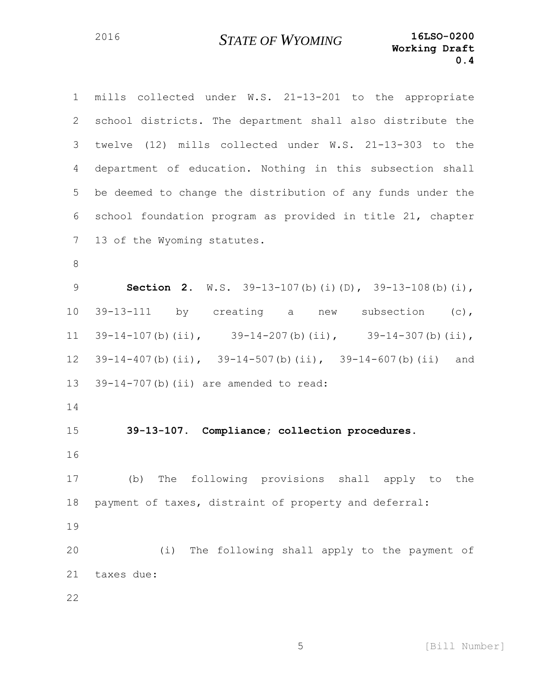| $\mathbf 1$     | mills collected under W.S. 21-13-201 to the appropriate              |
|-----------------|----------------------------------------------------------------------|
| $\mathbf{2}$    | school districts. The department shall also distribute the           |
| 3               | twelve (12) mills collected under W.S. 21-13-303 to the              |
| 4               | department of education. Nothing in this subsection shall            |
| 5               | be deemed to change the distribution of any funds under the          |
| 6               | school foundation program as provided in title 21, chapter           |
| $7\phantom{.0}$ | 13 of the Wyoming statutes.                                          |
| $\,8\,$         |                                                                      |
| $\mathsf 9$     | Section 2. $W.S. 39-13-107(b) (i) (D), 39-13-108(b) (i),$            |
| 10              | 39-13-111 by creating a new subsection (c),                          |
| 11              | $39-14-107$ (b) (ii), $39-14-207$ (b) (ii), $39-14-307$ (b) (ii),    |
| 12              | $39-14-407$ (b) (ii), $39-14-507$ (b) (ii), $39-14-607$ (b) (ii) and |
| 13              | 39-14-707(b)(ii) are amended to read:                                |
| 14              |                                                                      |
| 15              | 39-13-107. Compliance; collection procedures.                        |
| 16              |                                                                      |
| 17              | The following provisions shall apply to the<br>(b)                   |
| 18              | payment of taxes, distraint of property and deferral:                |
| 19              |                                                                      |
| 20              | (i) The following shall apply to the payment of                      |
| 21              | taxes due:                                                           |
|                 |                                                                      |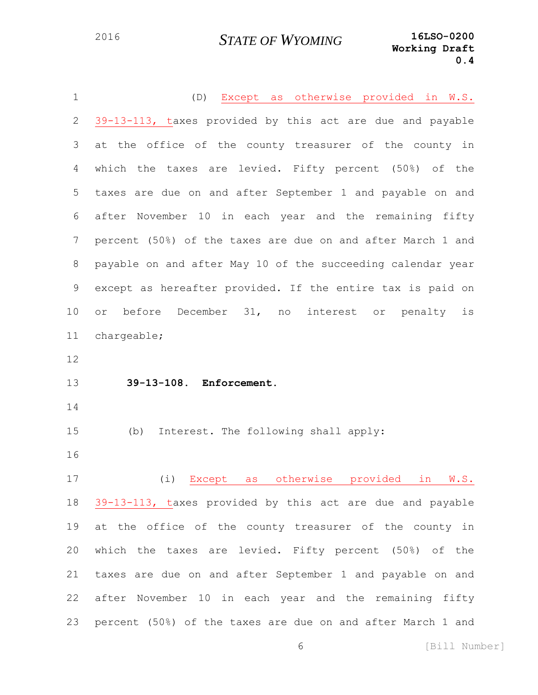| $\mathbf 1$     | (D) Except as otherwise provided in W.S.                    |
|-----------------|-------------------------------------------------------------|
| 2               | 39-13-113, taxes provided by this act are due and payable   |
| 3               | at the office of the county treasurer of the county in      |
| 4               | which the taxes are levied. Fifty percent (50%) of the      |
| 5               | taxes are due on and after September 1 and payable on and   |
| 6               | after November 10 in each year and the remaining fifty      |
| $7\phantom{.0}$ | percent (50%) of the taxes are due on and after March 1 and |
| 8               | payable on and after May 10 of the succeeding calendar year |
| 9               | except as hereafter provided. If the entire tax is paid on  |
| 10              | before December 31, no<br>interest or penalty<br>or<br>is   |
| 11              | chargeable;                                                 |
| 12              |                                                             |
| 13              | 39-13-108. Enforcement.                                     |
| 14              |                                                             |
| 15              | Interest. The following shall apply:<br>(b)                 |
| 16              |                                                             |
| 17              | (i) Except as otherwise provided in W.S.                    |
| 18              | 39-13-113, taxes provided by this act are due and payable   |
| 19              | at the office of the county treasurer of the county in      |
| 20              | which the taxes are levied. Fifty percent (50%) of the      |
| 21              | taxes are due on and after September 1 and payable on and   |
| 22              |                                                             |
|                 | after November 10 in each year and the remaining fifty      |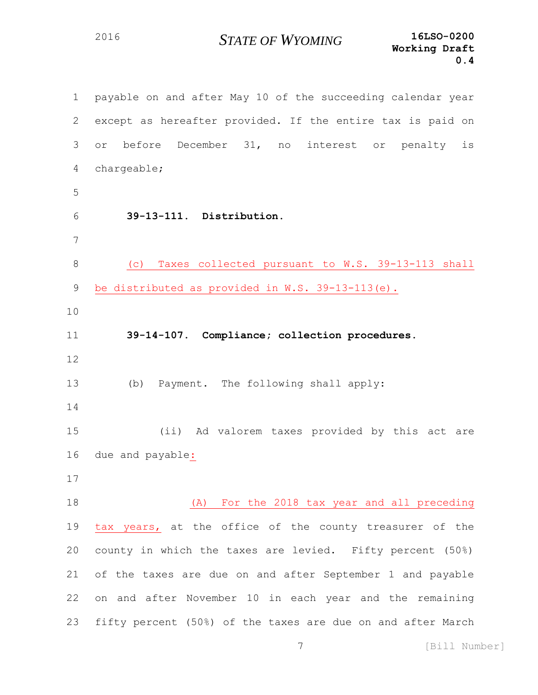payable on and after May 10 of the succeeding calendar year except as hereafter provided. If the entire tax is paid on or before December 31, no interest or penalty is chargeable; **39-13-111. Distribution.** (c) Taxes collected pursuant to W.S. 39-13-113 shall be distributed as provided in W.S. 39-13-113(e). **39-14-107. Compliance; collection procedures.** (b) Payment. The following shall apply: (ii) Ad valorem taxes provided by this act are due and payable: (A) For the 2018 tax year and all preceding 19 tax years, at the office of the county treasurer of the county in which the taxes are levied. Fifty percent (50%) of the taxes are due on and after September 1 and payable on and after November 10 in each year and the remaining fifty percent (50%) of the taxes are due on and after March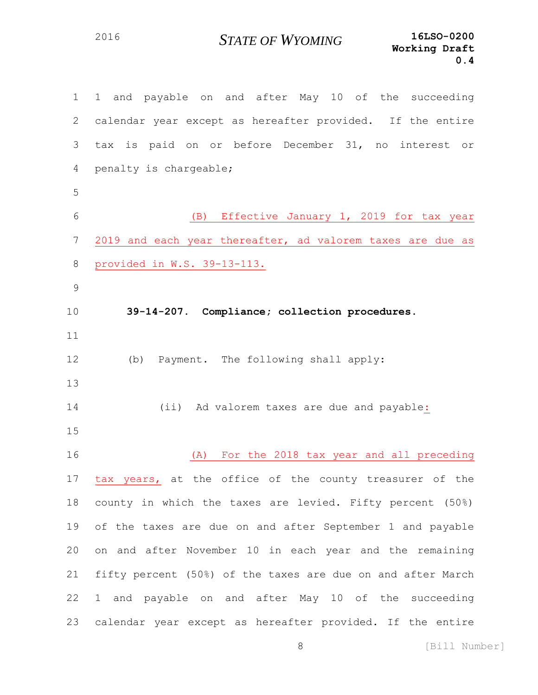| $\mathbf 1$   | 1 and payable on and after May 10 of the succeeding         |
|---------------|-------------------------------------------------------------|
| 2             | calendar year except as hereafter provided. If the entire   |
| 3             | tax is paid on or before December 31, no interest or        |
| 4             | penalty is chargeable;                                      |
| 5             |                                                             |
| 6             | (B) Effective January 1, 2019 for tax year                  |
| 7             | 2019 and each year thereafter, ad valorem taxes are due as  |
| 8             | provided in W.S. 39-13-113.                                 |
| $\mathcal{G}$ |                                                             |
| 10            | 39-14-207. Compliance; collection procedures.               |
| 11            |                                                             |
| 12            | (b) Payment. The following shall apply:                     |
| 13            |                                                             |
| 14            | (ii) Ad valorem taxes are due and payable:                  |
| 15            |                                                             |
| 16            | For the 2018 tax year and all preceding<br>(A)              |
| 17            | tax years, at the office of the county treasurer of the     |
| 18            | county in which the taxes are levied. Fifty percent (50%)   |
| 19            | of the taxes are due on and after September 1 and payable   |
| 20            | on and after November 10 in each year and the remaining     |
| 21            | fifty percent (50%) of the taxes are due on and after March |
| 22            | 1 and payable on and after May 10 of the succeeding         |
| 23            | calendar year except as hereafter provided. If the entire   |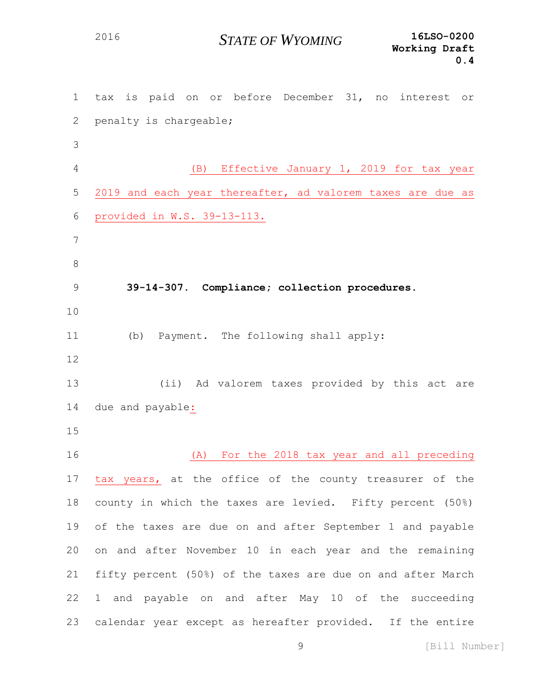tax is paid on or before December 31, no interest or penalty is chargeable; (B) Effective January 1, 2019 for tax year 2019 and each year thereafter, ad valorem taxes are due as provided in W.S. 39-13-113. **39-14-307. Compliance; collection procedures.** (b) Payment. The following shall apply: (ii) Ad valorem taxes provided by this act are due and payable: (A) For the 2018 tax year and all preceding tax years, at the office of the county treasurer of the county in which the taxes are levied. Fifty percent (50%) of the taxes are due on and after September 1 and payable on and after November 10 in each year and the remaining fifty percent (50%) of the taxes are due on and after March 1 and payable on and after May 10 of the succeeding calendar year except as hereafter provided. If the entire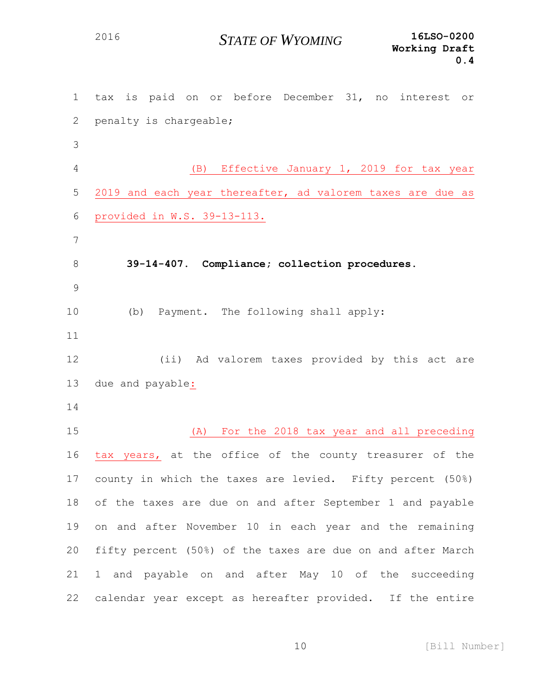tax is paid on or before December 31, no interest or penalty is chargeable; (B) Effective January 1, 2019 for tax year 2019 and each year thereafter, ad valorem taxes are due as provided in W.S. 39-13-113. **39-14-407. Compliance; collection procedures.** (b) Payment. The following shall apply: (ii) Ad valorem taxes provided by this act are due and payable: (A) For the 2018 tax year and all preceding tax years, at the office of the county treasurer of the county in which the taxes are levied. Fifty percent (50%) of the taxes are due on and after September 1 and payable on and after November 10 in each year and the remaining fifty percent (50%) of the taxes are due on and after March 1 and payable on and after May 10 of the succeeding calendar year except as hereafter provided. If the entire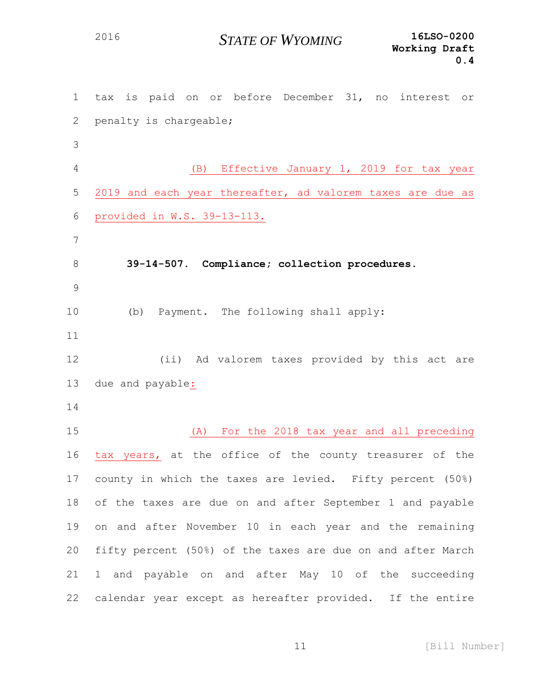tax is paid on or before December 31, no interest or penalty is chargeable; (B) Effective January 1, 2019 for tax year 2019 and each year thereafter, ad valorem taxes are due as provided in W.S. 39-13-113. **39-14-507. Compliance; collection procedures.** (b) Payment. The following shall apply: (ii) Ad valorem taxes provided by this act are due and payable: (A) For the 2018 tax year and all preceding tax years, at the office of the county treasurer of the county in which the taxes are levied. Fifty percent (50%) of the taxes are due on and after September 1 and payable on and after November 10 in each year and the remaining fifty percent (50%) of the taxes are due on and after March 1 and payable on and after May 10 of the succeeding calendar year except as hereafter provided. If the entire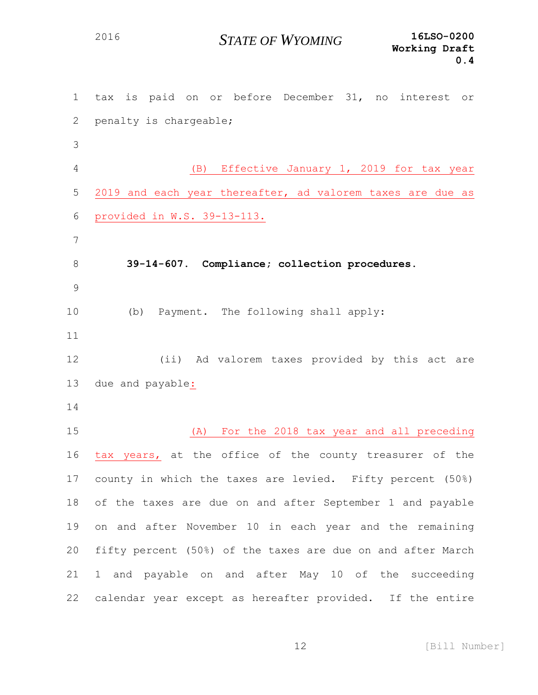tax is paid on or before December 31, no interest or penalty is chargeable; (B) Effective January 1, 2019 for tax year 2019 and each year thereafter, ad valorem taxes are due as provided in W.S. 39-13-113. **39-14-607. Compliance; collection procedures.** (b) Payment. The following shall apply: (ii) Ad valorem taxes provided by this act are due and payable: (A) For the 2018 tax year and all preceding tax years, at the office of the county treasurer of the county in which the taxes are levied. Fifty percent (50%) of the taxes are due on and after September 1 and payable on and after November 10 in each year and the remaining fifty percent (50%) of the taxes are due on and after March 1 and payable on and after May 10 of the succeeding calendar year except as hereafter provided. If the entire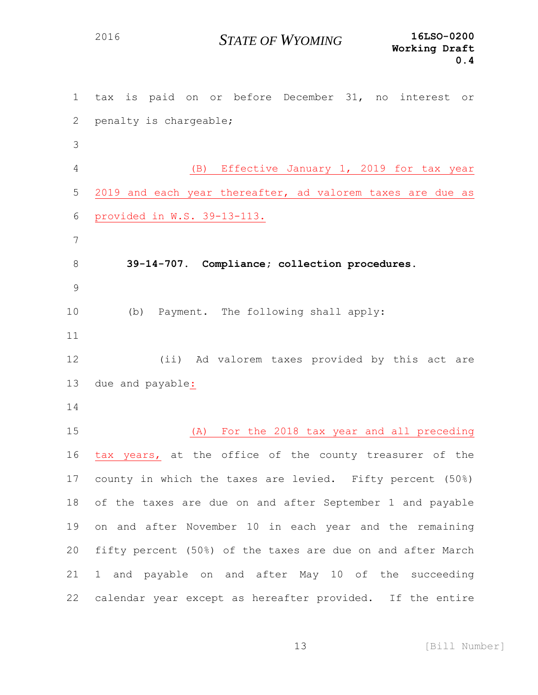tax is paid on or before December 31, no interest or penalty is chargeable; (B) Effective January 1, 2019 for tax year 2019 and each year thereafter, ad valorem taxes are due as provided in W.S. 39-13-113. **39-14-707. Compliance; collection procedures.** (b) Payment. The following shall apply: (ii) Ad valorem taxes provided by this act are due and payable: (A) For the 2018 tax year and all preceding tax years, at the office of the county treasurer of the county in which the taxes are levied. Fifty percent (50%) of the taxes are due on and after September 1 and payable on and after November 10 in each year and the remaining fifty percent (50%) of the taxes are due on and after March 1 and payable on and after May 10 of the succeeding calendar year except as hereafter provided. If the entire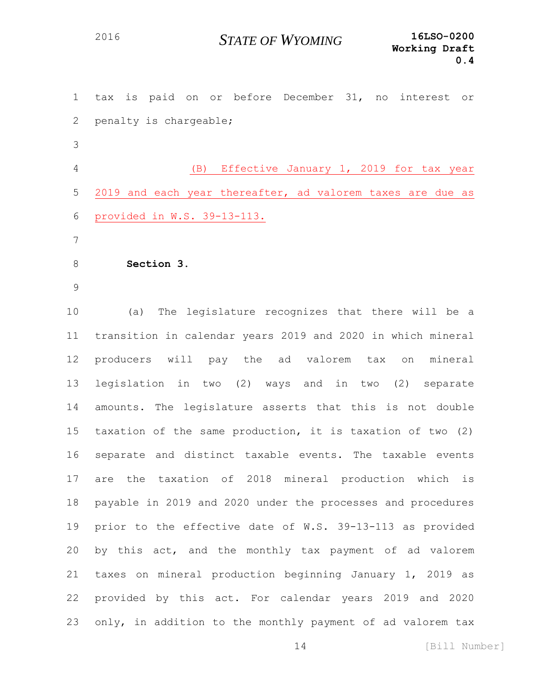| $\mathbf 1$    | is paid on or before December 31, no interest or<br>tax       |
|----------------|---------------------------------------------------------------|
| 2              | penalty is chargeable;                                        |
| 3              |                                                               |
| $\overline{4}$ | (B)<br>Effective January 1, 2019 for tax year                 |
| 5              | 2019 and each year thereafter, ad valorem taxes are due as    |
| 6              | provided in W.S. 39-13-113.                                   |
| 7              |                                                               |
| 8              | Section 3.                                                    |
| 9              |                                                               |
| 10             | (a)<br>The legislature recognizes that there will be a        |
| 11             | transition in calendar years 2019 and 2020 in which mineral   |
| 12             | producers will<br>pay the<br>ad valorem tax<br>mineral<br>on  |
| 13             | legislation in two (2) ways and in two (2) separate           |
| 14             | amounts. The legislature asserts that this is not double      |
| 15             | taxation of the same production, it is taxation of two (2)    |
| 16             | separate and distinct taxable events. The taxable events      |
| 17             | the taxation of<br>2018 mineral production which<br>is<br>are |
| 18             | payable in 2019 and 2020 under the processes and procedures   |
| 19             | prior to the effective date of W.S. 39-13-113 as provided     |
| 20             | by this act, and the monthly tax payment of ad valorem        |
| 21             | taxes on mineral production beginning January 1, 2019 as      |
| 22             | provided by this act. For calendar years 2019 and 2020        |
| 23             | only, in addition to the monthly payment of ad valorem tax    |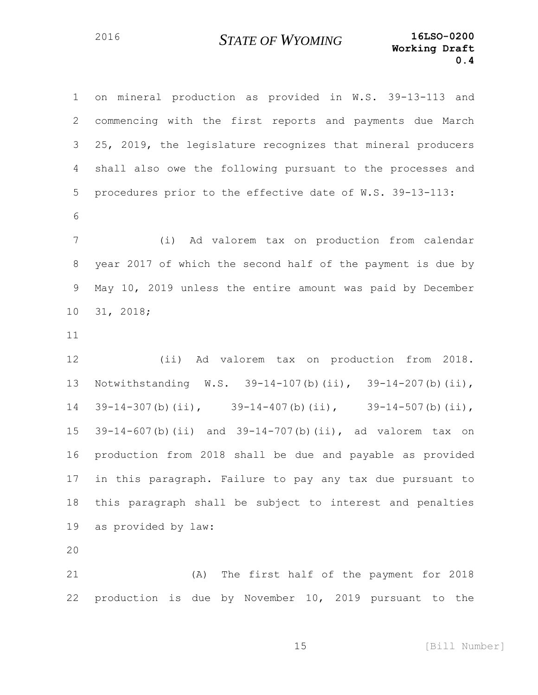on mineral production as provided in W.S. 39-13-113 and commencing with the first reports and payments due March 25, 2019, the legislature recognizes that mineral producers shall also owe the following pursuant to the processes and procedures prior to the effective date of W.S. 39-13-113: (i) Ad valorem tax on production from calendar year 2017 of which the second half of the payment is due by May 10, 2019 unless the entire amount was paid by December 31, 2018; (ii) Ad valorem tax on production from 2018. Notwithstanding W.S. 39-14-107(b)(ii), 39-14-207(b)(ii), 39-14-307(b)(ii), 39-14-407(b)(ii), 39-14-507(b)(ii), 39-14-607(b)(ii) and 39-14-707(b)(ii), ad valorem tax on production from 2018 shall be due and payable as provided in this paragraph. Failure to pay any tax due pursuant to this paragraph shall be subject to interest and penalties as provided by law: (A) The first half of the payment for 2018

production is due by November 10, 2019 pursuant to the